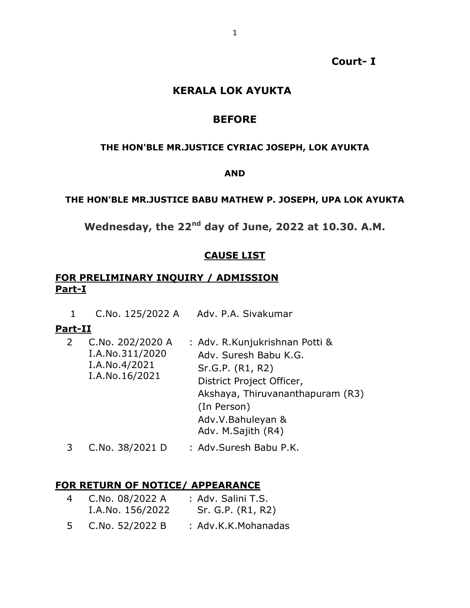**Court- I**

### **KERALA LOK AYUKTA**

### **BEFORE**

### **THE HON'BLE MR.JUSTICE CYRIAC JOSEPH, LOK AYUKTA**

### **AND**

### **THE HON'BLE MR.JUSTICE BABU MATHEW P. JOSEPH, UPA LOK AYUKTA**

**Wednesday, the 22nd day of June, 2022 at 10.30. A.M.**

### **CAUSE LIST**

### **FOR PRELIMINARY INQUIRY / ADMISSION Part-I**

1 C.No. 125/2022 A Adv. P.A. Sivakumar

#### **Part-II**

| $\overline{2}$ | C.No. 202/2020 A<br>I.A.No.311/2020<br>I.A.No.4/2021<br>I.A.No.16/2021 | : Adv. R. Kunjukrishnan Potti &<br>Adv. Suresh Babu K.G.<br>Sr.G.P. (R1, R2)<br>District Project Officer,<br>Akshaya, Thiruvananthapuram (R3)<br>(In Person)<br>Adv.V.Bahuleyan &<br>Adv. M.Sajith (R4) |
|----------------|------------------------------------------------------------------------|---------------------------------------------------------------------------------------------------------------------------------------------------------------------------------------------------------|
|                |                                                                        |                                                                                                                                                                                                         |

# 3 C.No. 38/2021 D : Adv.Suresh Babu P.K.

### **FOR RETURN OF NOTICE/ APPEARANCE**

| 4 | C.No. 08/2022 A<br>I.A.No. 156/2022 | : Adv. Salini T.S.<br>Sr. G.P. (R1, R2) |
|---|-------------------------------------|-----------------------------------------|
|   | C.No. 52/2022 B                     | : Adv.K.K.Mohanadas                     |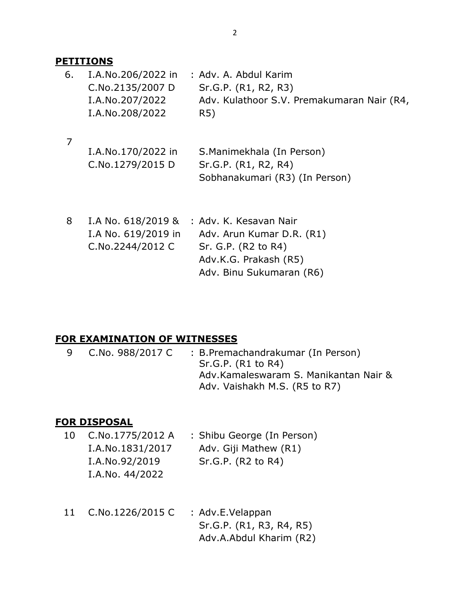### **PETITIONS**

| 6. | I.A.No.206/2022 in | : Adv. A. Abdul Karim                      |
|----|--------------------|--------------------------------------------|
|    | C.No.2135/2007 D   | Sr.G.P. (R1, R2, R3)                       |
|    | I.A.No.207/2022    | Adv. Kulathoor S.V. Premakumaran Nair (R4, |
|    | I.A.No.208/2022    | R5)                                        |
|    |                    |                                            |
|    | I.A.No.170/2022 in | S.Manimekhala (In Person)                  |
|    | C.No.1279/2015 D   | Sr.G.P. (R1, R2, R4)                       |
|    |                    | Sobhanakumari (R3) (In Person)             |

| 8 | I.A No. 618/2019 &  | : Adv. K. Kesavan Nair    |
|---|---------------------|---------------------------|
|   | I.A No. 619/2019 in | Adv. Arun Kumar D.R. (R1) |
|   | C.No.2244/2012 C    | Sr. G.P. (R2 to R4)       |
|   |                     | Adv.K.G. Prakash (R5)     |
|   |                     | Adv. Binu Sukumaran (R6)  |

# **FOR EXAMINATION OF WITNESSES**

| 9 | C.No. 988/2017 C | : B.Premachandrakumar (In Person)<br>Sr.G.P. (R1 to R4)<br>Adv.Kamaleswaram S. Manikantan Nair & |
|---|------------------|--------------------------------------------------------------------------------------------------|
|   |                  | Adv. Vaishakh M.S. (R5 to R7)                                                                    |

### **FOR DISPOSAL**

| 10 | C.No.1775/2012 A | : Shibu George (In Person) |
|----|------------------|----------------------------|
|    | I.A.No.1831/2017 | Adv. Giji Mathew (R1)      |
|    | I.A.No.92/2019   | Sr.G.P. (R2 to R4)         |
|    | I.A.No. 44/2022  |                            |

11 C.No.1226/2015 C : Adv.E.Velappan Sr.G.P. (R1, R3, R4, R5) Adv.A.Abdul Kharim (R2)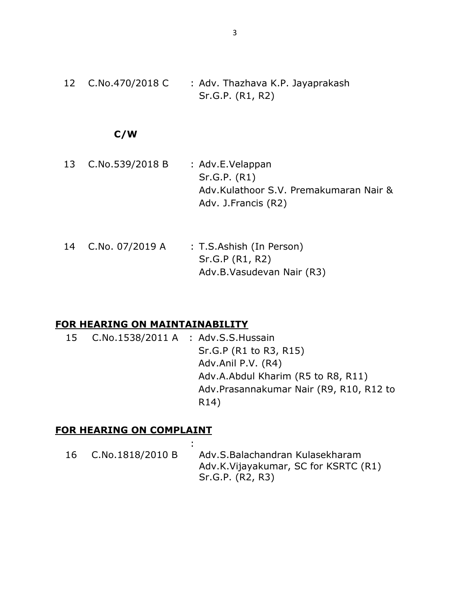12 C.No.470/2018 C : Adv. Thazhava K.P. Jayaprakash Sr.G.P. (R1, R2)

### **C/W**

- 13 C.No.539/2018 B : Adv.E.Velappan Sr.G.P. (R1) Adv.Kulathoor S.V. Premakumaran Nair & Adv. J.Francis (R2)
- 14 C.No. 07/2019 A : T.S.Ashish (In Person) Sr.G.P (R1, R2) Adv.B.Vasudevan Nair (R3)

#### **FOR HEARING ON MAINTAINABILITY**

15 C.No.1538/2011 A : Adv.S.S.Hussain Sr.G.P (R1 to R3, R15) Adv.Anil P.V. (R4) Adv.A.Abdul Kharim (R5 to R8, R11) Adv.Prasannakumar Nair (R9, R10, R12 to R14)

#### **FOR HEARING ON COMPLAINT**

| 16 | C.No.1818/2010 B | Adv.S.Balachandran Kulasekharam      |
|----|------------------|--------------------------------------|
|    |                  | Adv.K.Vijayakumar, SC for KSRTC (R1) |
|    |                  | Sr.G.P. (R2, R3)                     |

: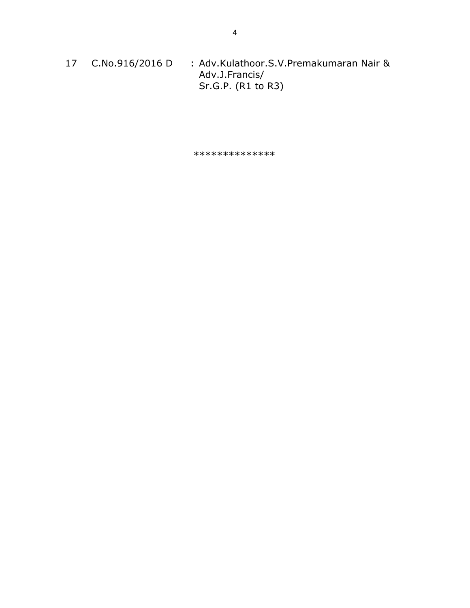17 C.No.916/2016 D : Adv.Kulathoor.S.V.Premakumaran Nair & Adv.J.Francis/ Sr.G.P. (R1 to R3)

\*\*\*\*\*\*\*\*\*\*\*\*\*\*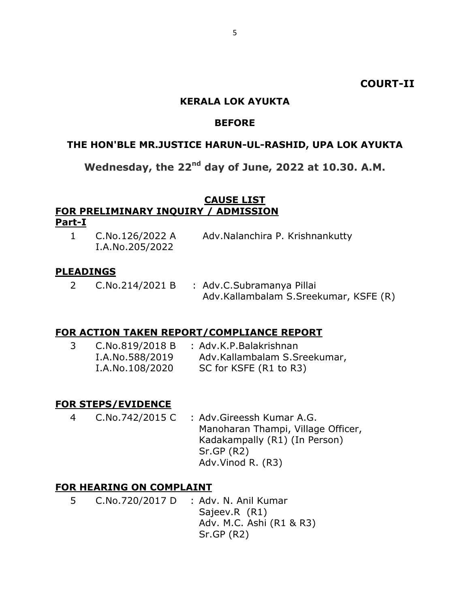### **COURT-II**

### **KERALA LOK AYUKTA**

#### **BEFORE**

#### **THE HON'BLE MR.JUSTICE HARUN-UL-RASHID, UPA LOK AYUKTA**

# **Wednesday, the 22nd day of June, 2022 at 10.30. A.M.**

# **CAUSE LIST FOR PRELIMINARY INQUIRY / ADMISSION**

#### **Part-I**

1 C.No.126/2022 A I.A.No.205/2022 Adv.Nalanchira P. Krishnankutty

#### **PLEADINGS**

2 C.No.214/2021 B : Adv.C.Subramanya Pillai Adv.Kallambalam S.Sreekumar, KSFE (R)

#### **FOR ACTION TAKEN REPORT/COMPLIANCE REPORT**

| C.No.819/2018 B | : Adv.K.P.Balakrishnan       |
|-----------------|------------------------------|
| I.A.No.588/2019 | Adv.Kallambalam S.Sreekumar, |
| I.A.No.108/2020 | SC for KSFE (R1 to R3)       |

#### **FOR STEPS/EVIDENCE**

4 C.No.742/2015 C : Adv.Gireessh Kumar A.G. Manoharan Thampi, Village Officer, Kadakampally (R1) (In Person) Sr.GP (R2) Adv.Vinod R. (R3)

#### **FOR HEARING ON COMPLAINT**

5 C.No.720/2017 D : Adv. N. Anil Kumar Sajeev.R (R1) Adv. M.C. Ashi (R1 & R3) Sr.GP (R2)